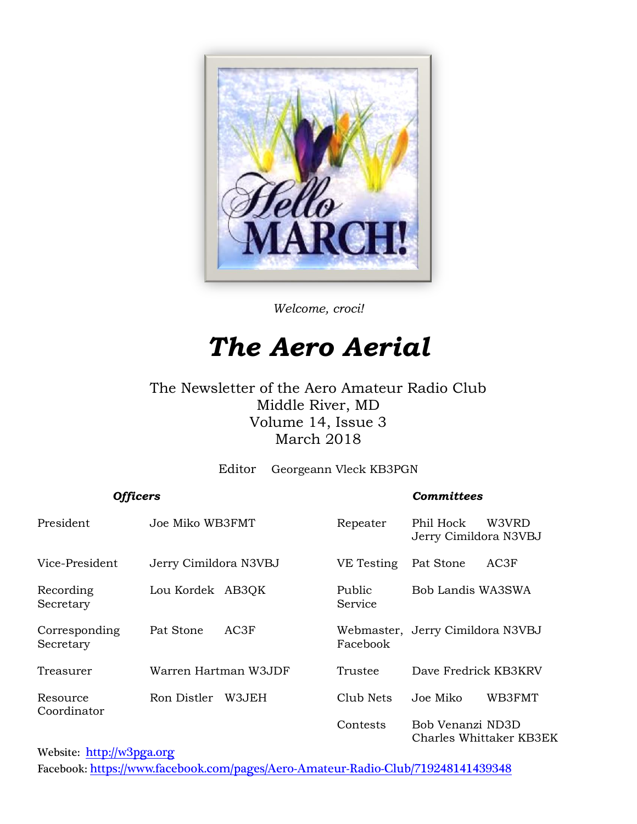

*Welcome, croci!*

# *The Aero Aerial*

#### The Newsletter of the Aero Amateur Radio Club Middle River, MD Volume 14, Issue 3 March 2018

Editor Georgeann Vleck KB3PGN

*Officers Committees*

| <b>PHELIP</b>              |                       |                   |                                             |  |
|----------------------------|-----------------------|-------------------|---------------------------------------------|--|
| President                  | Joe Miko WB3FMT       | Repeater          | Phil Hock<br>W3VRD<br>Jerry Cimildora N3VBJ |  |
| Vice-President             | Jerry Cimildora N3VBJ | VE Testing        | AC3F<br>Pat Stone                           |  |
| Recording<br>Secretary     | Lou Kordek AB3QK      | Public<br>Service | Bob Landis WA3SWA                           |  |
| Corresponding<br>Secretary | AC3F<br>Pat Stone     | Facebook          | Webmaster, Jerry Cimildora N3VBJ            |  |
| Treasurer                  | Warren Hartman W3JDF  | Trustee           | Dave Fredrick KB3KRV                        |  |
| Resource<br>Coordinator    | Ron Distler<br>W3JEH  | Club Nets         | WB3FMT<br>Joe Miko                          |  |
|                            |                       | Contests          | Bob Venanzi ND3D<br>Charles Whittaker KB3EK |  |

Website: [http://w](http://home.comcast.net/~frank-stone/Aero%20ARC/aero.htm)3pga.org

Facebook: <https://www.facebook.com/pages/Aero-Amateur-Radio-Club/719248141439348>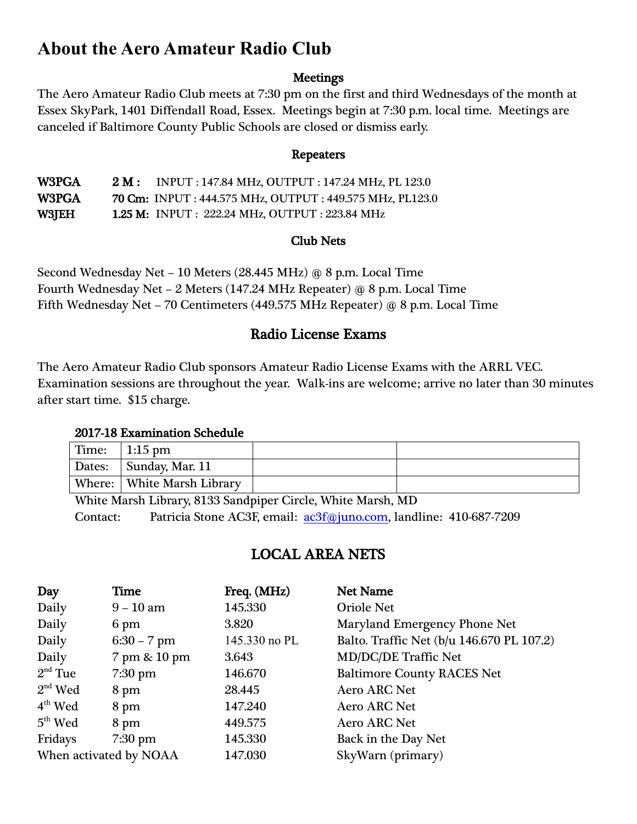### **About the Aero Amateur Radio Club**

#### **Meetings**

The Aero Amateur Radio Club meets at 7:30 pm on the first and third Wednesdays of the month at Essex SkyPark, 1401 Diffendall Road, Essex. Meetings begin at 7:30 p.m. local time. Meetings are canceled if Baltimore County Public Schools are closed or dismiss early.

#### Repeaters

W3PGA 2 M: INPUT : 147.84 MHz, OUTPUT : 147.24 MHz, PL 123.0 W3PGA 70 Cm: INPUT : 444.575 MHz, OUTPUT : 449.575 MHz, PL123.0 W3JEH 1.25 M: INPUT : 222.24 MHz, OUTPUT : 223.84 MHz

#### Club Nets

Second Wednesday Net – 10 Meters (28.445 MHz) @ 8 p.m. Local Time Fourth Wednesday Net – 2 Meters (147.24 MHz Repeater) @ 8 p.m. Local Time Fifth Wednesday Net – 70 Centimeters (449.575 MHz Repeater) @ 8 p.m. Local Time

#### Radio License Exams

The Aero Amateur Radio Club sponsors Amateur Radio License Exams with the ARRL VEC. Examination sessions are throughout the year. Walk-ins are welcome; arrive no later than 30 minutes after start time. \$15 charge.

#### 2017-18 Examination Schedule

| Time: | $1:15 \text{ pm}$          |  |
|-------|----------------------------|--|
|       | Dates: Sunday, Mar. 11     |  |
|       | Where: White Marsh Library |  |

White Marsh Library, 8133 Sandpiper Circle, White Marsh, MD Contact: Patricia Stone AC3F, email: [ac3f@juno.com,](mailto:ac3f@juno.com) landline: 410-687-7209

#### LOCAL AREA NETS

| Day                    | <b>Time</b>       | Freq. (MHz)   | <b>Net Name</b>                           |
|------------------------|-------------------|---------------|-------------------------------------------|
| Daily                  | $9 - 10$ am       | 145.330       | <b>Oriole Net</b>                         |
| Daily                  | 6 pm              | 3.820         | Maryland Emergency Phone Net              |
| Daily                  | $6:30 - 7$ pm     | 145.330 no PL | Balto. Traffic Net (b/u 146.670 PL 107.2) |
| Daily                  | 7 pm & 10 pm      | 3.643         | <b>MD/DC/DE Traffic Net</b>               |
| $2nd$ Tue              | $7:30$ pm         | 146.670       | <b>Baltimore County RACES Net</b>         |
| $2nd$ Wed              | 8 pm              | 28.445        | <b>Aero ARC Net</b>                       |
| $4th$ Wed              | 8 pm              | 147.240       | <b>Aero ARC Net</b>                       |
| $5th$ Wed              | 8 pm              | 449.575       | <b>Aero ARC Net</b>                       |
| Fridays                | $7:30 \text{ pm}$ | 145.330       | Back in the Day Net                       |
| When activated by NOAA |                   | 147.030       | SkyWarn (primary)                         |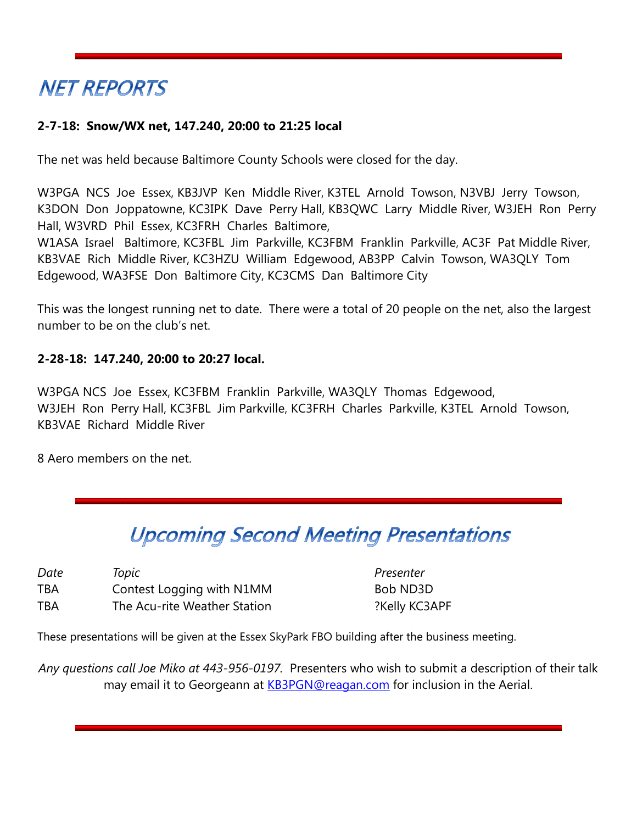# **NET REPORTS**

#### **2-7-18: Snow/WX net, 147.240, 20:00 to 21:25 local**

The net was held because Baltimore County Schools were closed for the day.

W3PGA NCS Joe Essex, KB3JVP Ken Middle River, K3TEL Arnold Towson, N3VBJ Jerry Towson, K3DON Don Joppatowne, KC3IPK Dave Perry Hall, KB3QWC Larry Middle River, W3JEH Ron Perry Hall, W3VRD Phil Essex, KC3FRH Charles Baltimore,

W1ASA Israel Baltimore, KC3FBL Jim Parkville, KC3FBM Franklin Parkville, AC3F Pat Middle River, KB3VAE Rich Middle River, KC3HZU William Edgewood, AB3PP Calvin Towson, WA3QLY Tom Edgewood, WA3FSE Don Baltimore City, KC3CMS Dan Baltimore City

This was the longest running net to date. There were a total of 20 people on the net, also the largest number to be on the club's net.

#### **2-28-18: 147.240, 20:00 to 20:27 local.**

W3PGA NCS Joe Essex, KC3FBM Franklin Parkville, WA3QLY Thomas Edgewood, W3JEH Ron Perry Hall, KC3FBL Jim Parkville, KC3FRH Charles Parkville, K3TEL Arnold Towson, KB3VAE Richard Middle River

8 Aero members on the net.

## **Upcoming Second Meeting Presentations**

| Date       | Topic                        |
|------------|------------------------------|
| <b>TBA</b> | Contest Logging with N1MM    |
| <b>TBA</b> | The Acu-rite Weather Station |

**Presenter** Bob ND3D ?Kelly KC3APF

These presentations will be given at the Essex SkyPark FBO building after the business meeting.

*Any questions call Joe Miko at 443-956-0197.* Presenters who wish to submit a description of their talk may email it to Georgeann at [KB3PGN@reagan.com](mailto:KB3PGN@reagan.com) for inclusion in the Aerial.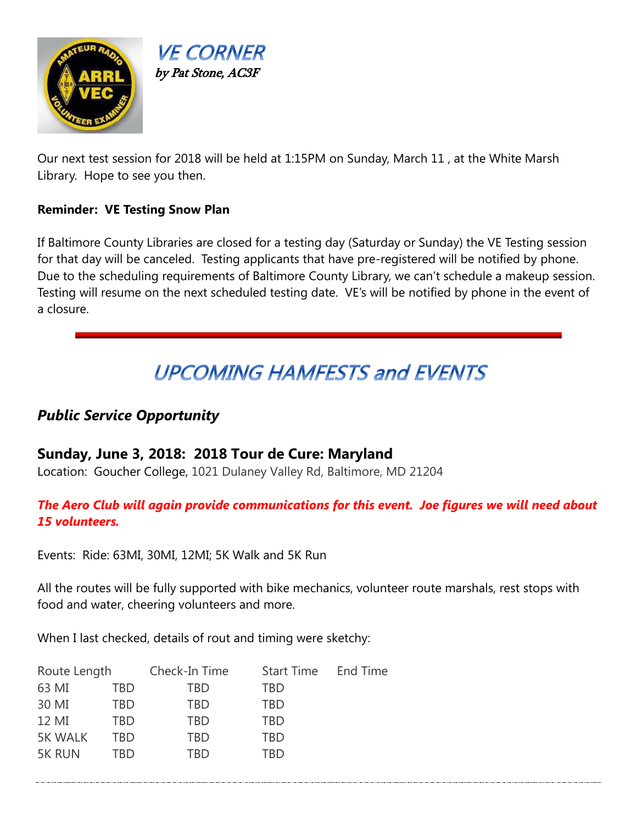



Our next test session for 2018 will be held at 1:15PM on Sunday, March 11 , at the White Marsh Library. Hope to see you then.

#### **Reminder: VE Testing Snow Plan**

If Baltimore County Libraries are closed for a testing day (Saturday or Sunday) the VE Testing session for that day will be canceled. Testing applicants that have pre-registered will be notified by phone. Due to the scheduling requirements of Baltimore County Library, we can't schedule a makeup session. Testing will resume on the next scheduled testing date. VE's will be notified by phone in the event of a closure.

# **UPCOMING HAMFESTS and EVENTS**

#### *Public Service Opportunity*

#### **Sunday, June 3, 2018: 2018 Tour de Cure: Maryland**

Location: Goucher College, 1021 Dulaney Valley Rd, Baltimore, MD 21204

#### *The Aero Club will again provide communications for this event. Joe figures we will need about 15 volunteers.*

Events: Ride: 63MI, 30MI, 12MI; 5K Walk and 5K Run

All the routes will be fully supported with bike mechanics, volunteer route marshals, rest stops with food and water, cheering volunteers and more.

When I last checked, details of rout and timing were sketchy:

| Route Length   |     | Check-In Time | <b>Start Time</b> | End Time |
|----------------|-----|---------------|-------------------|----------|
| 63 MI          | TBD | TBD           | TBD               |          |
| 30 MI          | TBD | TBD           | TBD               |          |
| 12 MI          | TRD | TBD           | <b>TBD</b>        |          |
| <b>5K WALK</b> | TRD | TBD           | <b>TBD</b>        |          |
| <b>5K RUN</b>  | TRD | TRD           | TRD               |          |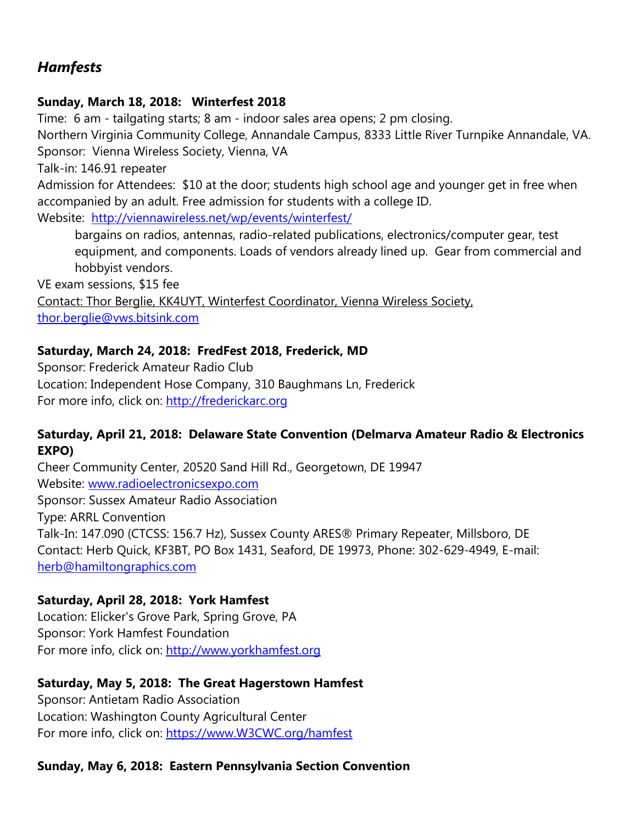#### *Hamfests*

#### **Sunday, March 18, 2018: Winterfest 2018**

Time: 6 am - tailgating starts; 8 am - indoor sales area opens; 2 pm closing.

Northern Virginia Community College, Annandale Campus, [8333 Little River Turnpike Annandale, VA.](http://email.vws.bitsink.com/c/eJwNjcsKgzAUBb_GLMPNzcO4yKKCuhCk9AdKomkMxgcq7e83cBbDLOZMxosPlyQaBKaBQYkgK46UUZCaQaObUqimZrIuBHx_F3XxvuK20HFfyWy4YxIBRytwcoIpLzSzGpGPTnmtKpLMfN_HVfBHgW1e2HcaUobVZott3736zxD9IgWS3H-PNqUrhs30NX92AznN4vgRtnxvzzPRzd9_jFE06g) Sponsor: Vienna Wireless Society, Vienna, VA

Talk-in: 146.91 repeater

Admission for Attendees: \$10 at the door; students high school age and younger get in free when accompanied by an adult. Free admission for students with a college ID. Website: <http://viennawireless.net/wp/events/winterfest/>

bargains on radios, antennas, radio-related publications, electronics/computer gear, test equipment, and components. Loads of vendors already lined up. Gear from commercial and hobbyist vendors.

VE exam sessions, \$15 fee Contact: Thor Berglie, KK4UYT, Winterfest Coordinator, Vienna Wireless Society, [thor.berglie@vws.bitsink.com](mailto:thor.berglie@vws.bitsink.com)

#### **Saturday, March 24, 2018: FredFest 2018, Frederick, MD**

Sponsor: Frederick Amateur Radio Club Location: Independent Hose Company, 310 Baughmans Ln, Frederick For more info, click on: [http://frederickarc.org](http://frederickarc.org/)

#### **Saturday, April 21, 2018: Delaware State Convention (Delmarva Amateur Radio & Electronics EXPO)**

Cheer Community Center, 20520 Sand Hill Rd., Georgetown, DE 19947 Website: [www.radioelectronicsexpo.com](http://www.radioelectronicsexpo.com/) Sponsor: Sussex Amateur Radio Association Type: ARRL Convention Talk-In: 147.090 (CTCSS: 156.7 Hz), Sussex County ARES® Primary Repeater, Millsboro, DE Contact: Herb Quick, KF3BT, PO Box 1431, Seaford, DE 19973, Phone: 302-629-4949, E-mail: [herb@hamiltongraphics.com](mailto:herb@hamiltongraphics.com)

#### **Saturday, April 28, 2018: York Hamfest**

Location: Elicker's Grove Park, Spring Grove, PA Sponsor: York Hamfest Foundation For more info, click on: [http://www.yorkhamfest.org](http://www.yorkhamfest.org/)

#### **Saturday, May 5, 2018: The Great Hagerstown Hamfest**

Sponsor: Antietam Radio Association Location: Washington County Agricultural Center For more info, click on: [https://www.W3CWC.org/hamfest](https://www.w3cwc.org/hamfest)

#### **Sunday, May 6, 2018: Eastern Pennsylvania Section Convention**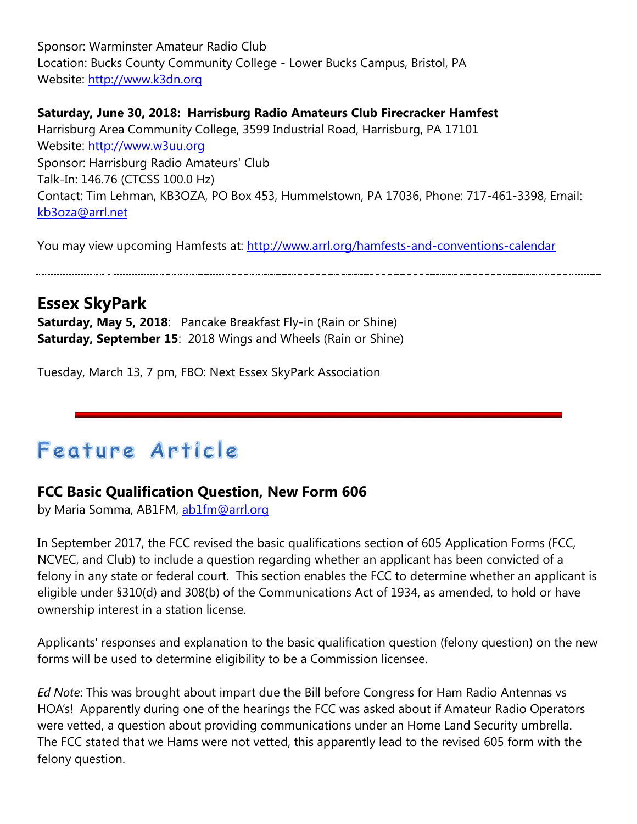Sponsor: Warminster Amateur Radio Club Location: Bucks County Community College - Lower Bucks Campus, Bristol, PA Website: [http://www.k3dn.org](http://www.k3dn.org/)

#### **Saturday, June 30, 2018: Harrisburg Radio Amateurs Club Firecracker Hamfest**

Harrisburg Area Community College, 3599 Industrial Road, Harrisburg, PA 17101 Website: [http://www.w3uu.org](http://www.w3uu.org/) Sponsor: Harrisburg Radio Amateurs' Club Talk-In: 146.76 (CTCSS 100.0 Hz) Contact: Tim Lehman, KB3OZA, PO Box 453, Hummelstown, PA 17036, Phone: 717-461-3398, Email: [kb3oza@arrl.net](mailto:kb3oza@arrl.net)

You may view upcoming Hamfests at:<http://www.arrl.org/hamfests-and-conventions-calendar>

**Essex SkyPark Saturday, May 5, 2018**: Pancake Breakfast Fly-in (Rain or Shine) **Saturday, September 15**: 2018 Wings and Wheels (Rain or Shine)

Tuesday, March 13, 7 pm, FBO: Next Essex SkyPark Association

# Feature Article

#### **FCC Basic Qualification Question, New Form 606**

by Maria Somma, AB1FM, [ab1fm@arrl.org](mailto:ab1fm@arrl.org)

In September 2017, the FCC revised the basic qualifications section of 605 Application Forms (FCC, NCVEC, and Club) to include a question regarding whether an applicant has been convicted of a felony in any state or federal court. This section enables the FCC to determine whether an applicant is eligible under §310(d) and 308(b) of the Communications Act of 1934, as amended, to hold or have ownership interest in a station license.

Applicants' responses and explanation to the basic qualification question (felony question) on the new forms will be used to determine eligibility to be a Commission licensee.

*Ed Note*: This was brought about impart due the Bill before Congress for Ham Radio Antennas vs HOA's! Apparently during one of the hearings the FCC was asked about if Amateur Radio Operators were vetted, a question about providing communications under an Home Land Security umbrella. The FCC stated that we Hams were not vetted, this apparently lead to the revised 605 form with the felony question.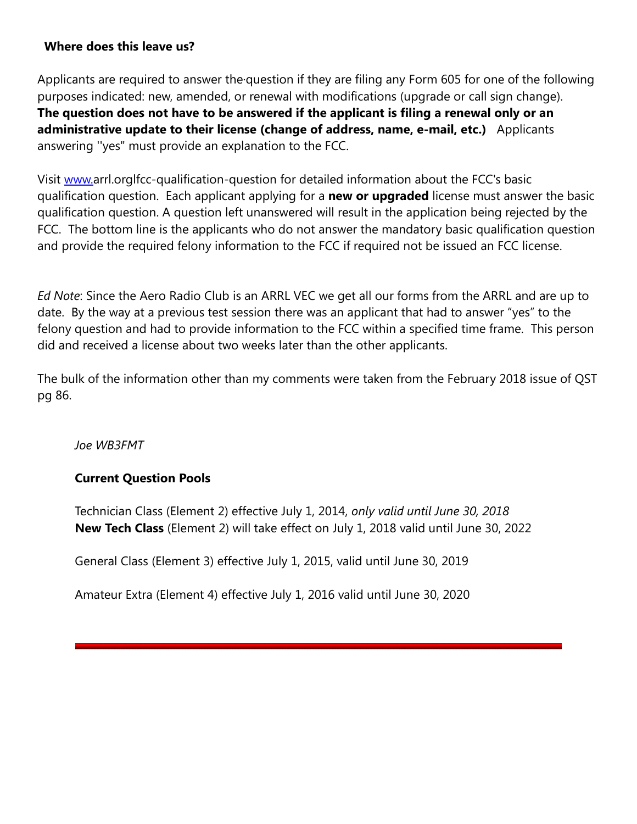#### **Where does this leave us?**

Applicants are required to answer the·question if they are filing any Form 605 for one of the following purposes indicated: new, amended, or renewal with modifications (upgrade or call sign change). **The question does not have to be answered if the applicant is filing a renewal only or an administrative update to their license (change of address, name, e-mail, etc.)** Applicants answering ''yes" must provide an explanation to the FCC.

Visit [www.a](http://www/)rrl.orglfcc-qualification-question for detailed information about the FCC's basic qualification question. Each applicant applying for a **new or upgraded** license must answer the basic qualification question. A question left unanswered will result in the application being rejected by the FCC. The bottom line is the applicants who do not answer the mandatory basic qualification question and provide the required felony information to the FCC if required not be issued an FCC license.

*Ed Note*: Since the Aero Radio Club is an ARRL VEC we get all our forms from the ARRL and are up to date. By the way at a previous test session there was an applicant that had to answer "yes" to the felony question and had to provide information to the FCC within a specified time frame. This person did and received a license about two weeks later than the other applicants.

The bulk of the information other than my comments were taken from the February 2018 issue of QST pg 86.

*Joe WB3FMT*

#### **Current Question Pools**

Technician Class (Element 2) effective July 1, 2014, *only valid until June 30, 2018* **New Tech Class** (Element 2) will take effect on July 1, 2018 valid until June 30, 2022

General Class (Element 3) effective July 1, 2015, valid until June 30, 2019

Amateur Extra (Element 4) effective July 1, 2016 valid until June 30, 2020